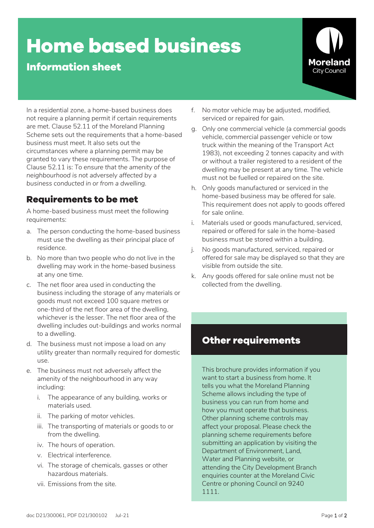# **Home based business**

### **Information sheet**



In a residential zone, a home-based business does not require a planning permit if certain requirements are met. Clause 52.11 of the Moreland Planning Scheme sets out the requirements that a home-based business must meet. It also sets out the circumstances where a planning permit may be granted to vary these requirements. The purpose of Clause 52.11 is: *To ensure that the amenity of the neighbourhood is not adversely affected by a business conducted in or from a dwelling.*

#### **Requirements to be met**

A home-based business must meet the following requirements:

- a. The person conducting the home-based business must use the dwelling as their principal place of residence.
- b. No more than two people who do not live in the dwelling may work in the home-based business at any one time.
- c. The net floor area used in conducting the business including the storage of any materials or goods must not exceed 100 square metres or one-third of the net floor area of the dwelling, whichever is the lesser. The net floor area of the dwelling includes out-buildings and works normal to a dwelling.
- d. The business must not impose a load on any utility greater than normally required for domestic use.
- e. The business must not adversely affect the amenity of the neighbourhood in any way including:
	- i. The appearance of any building, works or materials used.
	- ii. The parking of motor vehicles.
	- iii. The transporting of materials or goods to or from the dwelling.
	- iv. The hours of operation.
	- v. Electrical interference.
	- vi. The storage of chemicals, gasses or other hazardous materials.
	- vii. Emissions from the site.
- f. No motor vehicle may be adjusted, modified, serviced or repaired for gain.
- g. Only one commercial vehicle (a commercial goods vehicle, commercial passenger vehicle or tow truck within the meaning of the Transport Act 1983), not exceeding 2 tonnes capacity and with or without a trailer registered to a resident of the dwelling may be present at any time. The vehicle must not be fuelled or repaired on the site.
- h. Only goods manufactured or serviced in the home-based business may be offered for sale. This requirement does not apply to goods offered for sale online.
- i. Materials used or goods manufactured, serviced, repaired or offered for sale in the home-based business must be stored within a building.
- j. No goods manufactured, serviced, repaired or offered for sale may be displayed so that they are visible from outside the site.
- k. Any goods offered for sale online must not be collected from the dwelling.

#### **Other requirements**

This brochure provides information if you want to start a business from home. It tells you what the Moreland Planning Scheme allows including the type of business you can run from home and how you must operate that business. Other planning scheme controls may affect your proposal. Please check the planning scheme requirements before submitting an application by visiting the Department of Environment, Land, Water and Planning website, or attending the City Development Branch enquiries counter at the Moreland Civic Centre or phoning Council on 9240 1111.